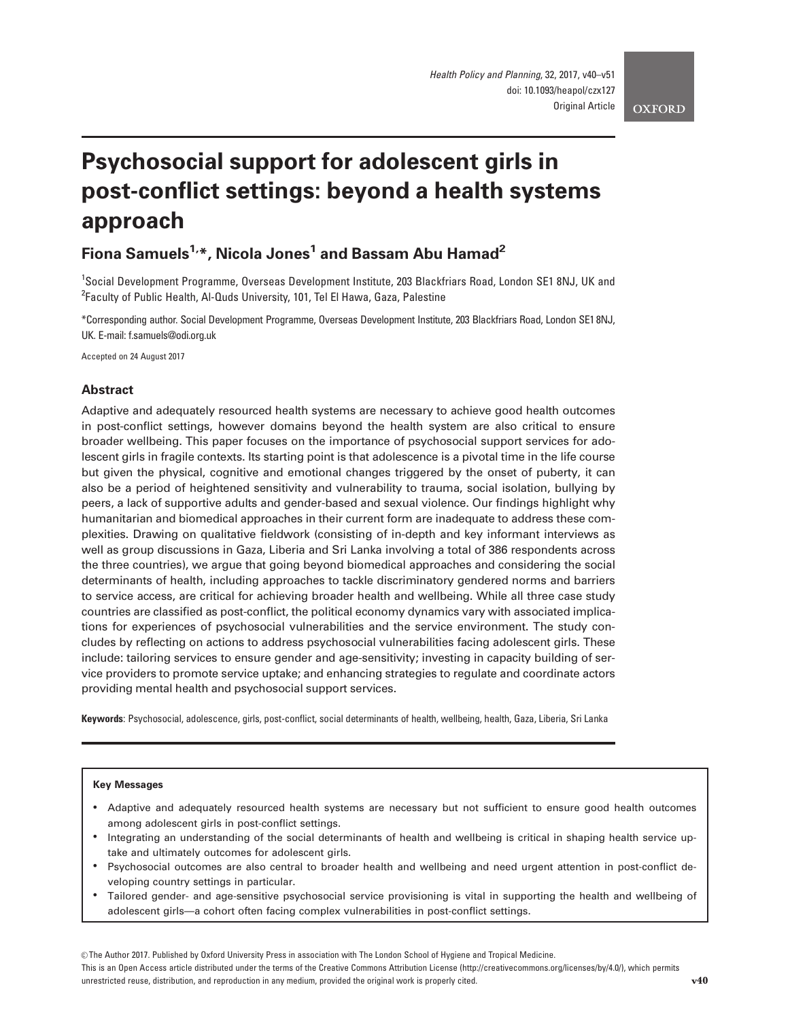# Psychosocial support for adolescent girls in post-conflict settings: beyond a health systems approach

# Fiona Samuels<sup>1,\*</sup>, Nicola Jones<sup>1</sup> and Bassam Abu Hamad<sup>2</sup>

<sup>1</sup>Social Development Programme, Overseas Development Institute, 203 Blackfriars Road, London SE1 8NJ, UK and <sup>2</sup>Faculty of Public Health, Al-Quds University, 101, Tel El Hawa, Gaza, Palestine

\*Corresponding author. Social Development Programme, Overseas Development Institute, 203 Blackfriars Road, London SE1 8NJ, UK. E-mail: f.samuels@odi.org.uk

Accepted on 24 August 2017

# Abstract

Adaptive and adequately resourced health systems are necessary to achieve good health outcomes in post-conflict settings, however domains beyond the health system are also critical to ensure broader wellbeing. This paper focuses on the importance of psychosocial support services for adolescent girls in fragile contexts. Its starting point is that adolescence is a pivotal time in the life course but given the physical, cognitive and emotional changes triggered by the onset of puberty, it can also be a period of heightened sensitivity and vulnerability to trauma, social isolation, bullying by peers, a lack of supportive adults and gender-based and sexual violence. Our findings highlight why humanitarian and biomedical approaches in their current form are inadequate to address these complexities. Drawing on qualitative fieldwork (consisting of in-depth and key informant interviews as well as group discussions in Gaza, Liberia and Sri Lanka involving a total of 386 respondents across the three countries), we argue that going beyond biomedical approaches and considering the social determinants of health, including approaches to tackle discriminatory gendered norms and barriers to service access, are critical for achieving broader health and wellbeing. While all three case study countries are classified as post-conflict, the political economy dynamics vary with associated implications for experiences of psychosocial vulnerabilities and the service environment. The study concludes by reflecting on actions to address psychosocial vulnerabilities facing adolescent girls. These include: tailoring services to ensure gender and age-sensitivity; investing in capacity building of service providers to promote service uptake; and enhancing strategies to regulate and coordinate actors providing mental health and psychosocial support services.

Keywords: Psychosocial, adolescence, girls, post-conflict, social determinants of health, wellbeing, health, Gaza, Liberia, Sri Lanka

#### Key Messages

- Adaptive and adequately resourced health systems are necessary but not sufficient to ensure good health outcomes among adolescent girls in post-conflict settings.
- Integrating an understanding of the social determinants of health and wellbeing is critical in shaping health service uptake and ultimately outcomes for adolescent girls.
- Psychosocial outcomes are also central to broader health and wellbeing and need urgent attention in post-conflict developing country settings in particular.
- Tailored gender- and age-sensitive psychosocial service provisioning is vital in supporting the health and wellbeing of adolescent girls—a cohort often facing complex vulnerabilities in post-conflict settings.

 $\circ$  The Author 2017. Published by Oxford University Press in association with The London School of Hygiene and Tropical Medicine. This is an Open Access article distributed under the terms of the Creative Commons Attribution License (http://creativecommons.org/licenses/by/4.0/), which permits unrestricted reuse, distribution, and reproduction in any medium, provided the original work is properly cited.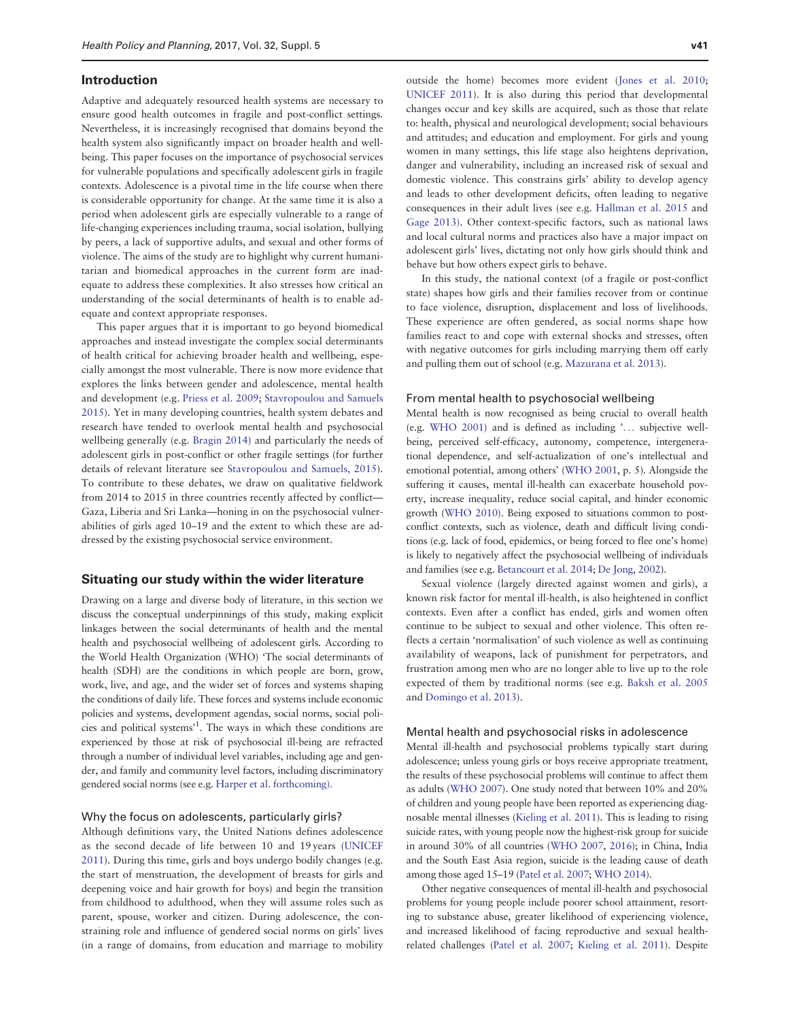#### Introduction

Adaptive and adequately resourced health systems are necessary to ensure good health outcomes in fragile and post-conflict settings. Nevertheless, it is increasingly recognised that domains beyond the health system also significantly impact on broader health and wellbeing. This paper focuses on the importance of psychosocial services for vulnerable populations and specifically adolescent girls in fragile contexts. Adolescence is a pivotal time in the life course when there is considerable opportunity for change. At the same time it is also a period when adolescent girls are especially vulnerable to a range of life-changing experiences including trauma, social isolation, bullying by peers, a lack of supportive adults, and sexual and other forms of violence. The aims of the study are to highlight why current humanitarian and biomedical approaches in the current form are inadequate to address these complexities. It also stresses how critical an understanding of the social determinants of health is to enable adequate and context appropriate responses.

This paper argues that it is important to go beyond biomedical approaches and instead investigate the complex social determinants of health critical for achieving broader health and wellbeing, especially amongst the most vulnerable. There is now more evidence that explores the links between gender and adolescence, mental health and development (e.g. [Priess et al. 2009;](#page-10-0) [Stavropoulou and Samuels](#page-10-0) [2015\)](#page-10-0). Yet in many developing countries, health system debates and research have tended to overlook mental health and psychosocial wellbeing generally (e.g. [Bragin 2014](#page-10-0)) and particularly the needs of adolescent girls in post-conflict or other fragile settings (for further details of relevant literature see [Stavropoulou and Samuels, 2015](#page-10-0)). To contribute to these debates, we draw on qualitative fieldwork from 2014 to 2015 in three countries recently affected by conflict— Gaza, Liberia and Sri Lanka—honing in on the psychosocial vulnerabilities of girls aged 10–19 and the extent to which these are addressed by the existing psychosocial service environment.

#### Situating our study within the wider literature

Drawing on a large and diverse body of literature, in this section we discuss the conceptual underpinnings of this study, making explicit linkages between the social determinants of health and the mental health and psychosocial wellbeing of adolescent girls. According to the World Health Organization (WHO) 'The social determinants of health (SDH) are the conditions in which people are born, grow, work, live, and age, and the wider set of forces and systems shaping the conditions of daily life. These forces and systems include economic policies and systems, development agendas, social norms, social policies and political systems'1 . The ways in which these conditions are experienced by those at risk of psychosocial ill-being are refracted through a number of individual level variables, including age and gender, and family and community level factors, including discriminatory gendered social norms (see e.g. [Harper et al. forthcoming\).](#page-10-0)

#### Why the focus on adolescents, particularly girls?

Although definitions vary, the United Nations defines adolescence as the second decade of life between 10 and 19 years [\(UNICEF](#page-10-0) [2011\)](#page-10-0). During this time, girls and boys undergo bodily changes (e.g. the start of menstruation, the development of breasts for girls and deepening voice and hair growth for boys) and begin the transition from childhood to adulthood, when they will assume roles such as parent, spouse, worker and citizen. During adolescence, the constraining role and influence of gendered social norms on girls' lives (in a range of domains, from education and marriage to mobility

outside the home) becomes more evident ([Jones et al. 2010;](#page-10-0) [UNICEF 2011\)](#page-10-0). It is also during this period that developmental changes occur and key skills are acquired, such as those that relate to: health, physical and neurological development; social behaviours and attitudes; and education and employment. For girls and young women in many settings, this life stage also heightens deprivation, danger and vulnerability, including an increased risk of sexual and domestic violence. This constrains girls' ability to develop agency and leads to other development deficits, often leading to negative consequences in their adult lives (see e.g. [Hallman et al. 2015](#page-10-0) and [Gage 2013\).](#page-10-0) Other context-specific factors, such as national laws and local cultural norms and practices also have a major impact on adolescent girls' lives, dictating not only how girls should think and behave but how others expect girls to behave.

In this study, the national context (of a fragile or post-conflict state) shapes how girls and their families recover from or continue to face violence, disruption, displacement and loss of livelihoods. These experience are often gendered, as social norms shape how families react to and cope with external shocks and stresses, often with negative outcomes for girls including marrying them off early and pulling them out of school (e.g. [Mazurana et al. 2013](#page-10-0)).

#### From mental health to psychosocial wellbeing

Mental health is now recognised as being crucial to overall health (e.g. [WHO 2001](#page-11-0)) and is defined as including '... subjective wellbeing, perceived self-efficacy, autonomy, competence, intergenerational dependence, and self-actualization of one's intellectual and emotional potential, among others' [\(WHO 2001,](#page-11-0) p. 5). Alongside the suffering it causes, mental ill-health can exacerbate household poverty, increase inequality, reduce social capital, and hinder economic growth ([WHO 2010\)](#page-11-0). Being exposed to situations common to postconflict contexts, such as violence, death and difficult living conditions (e.g. lack of food, epidemics, or being forced to flee one's home) is likely to negatively affect the psychosocial wellbeing of individuals and families (see e.g. [Betancourt et al. 2014;](#page-10-0) [De Jong, 2002](#page-10-0)).

Sexual violence (largely directed against women and girls), a known risk factor for mental ill-health, is also heightened in conflict contexts. Even after a conflict has ended, girls and women often continue to be subject to sexual and other violence. This often reflects a certain 'normalisation' of such violence as well as continuing availability of weapons, lack of punishment for perpetrators, and frustration among men who are no longer able to live up to the role expected of them by traditional norms (see e.g. [Baksh et al. 2005](#page-10-0) and [Domingo et al. 2013\)](#page-10-0).

#### Mental health and psychosocial risks in adolescence

Mental ill-health and psychosocial problems typically start during adolescence; unless young girls or boys receive appropriate treatment, the results of these psychosocial problems will continue to affect them as adults [\(WHO 2007](#page-11-0)). One study noted that between 10% and 20% of children and young people have been reported as experiencing diagnosable mental illnesses [\(Kieling et al. 2011\)](#page-10-0). This is leading to rising suicide rates, with young people now the highest-risk group for suicide in around 30% of all countries ([WHO 2007,](#page-11-0) [2016\)](#page-11-0); in China, India and the South East Asia region, suicide is the leading cause of death among those aged 15–19 ([Patel et al. 2007;](#page-10-0) [WHO 2014\)](#page-11-0).

Other negative consequences of mental ill-health and psychosocial problems for young people include poorer school attainment, resorting to substance abuse, greater likelihood of experiencing violence, and increased likelihood of facing reproductive and sexual healthrelated challenges ([Patel et al. 2007](#page-10-0); [Kieling et al. 2011](#page-10-0)). Despite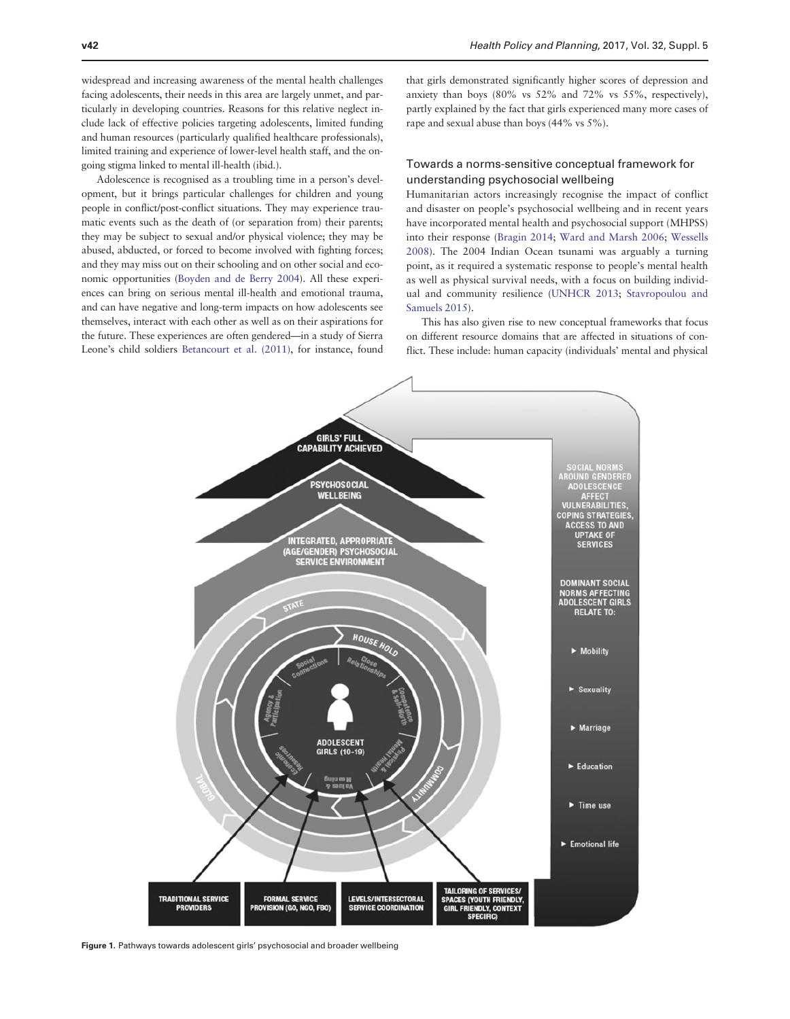<span id="page-2-0"></span>widespread and increasing awareness of the mental health challenges facing adolescents, their needs in this area are largely unmet, and particularly in developing countries. Reasons for this relative neglect include lack of effective policies targeting adolescents, limited funding and human resources (particularly qualified healthcare professionals), limited training and experience of lower-level health staff, and the ongoing stigma linked to mental ill-health (ibid.).

Adolescence is recognised as a troubling time in a person's development, but it brings particular challenges for children and young people in conflict/post-conflict situations. They may experience traumatic events such as the death of (or separation from) their parents; they may be subject to sexual and/or physical violence; they may be abused, abducted, or forced to become involved with fighting forces; and they may miss out on their schooling and on other social and economic opportunities [\(Boyden and de Berry 2004](#page-10-0)). All these experiences can bring on serious mental ill-health and emotional trauma, and can have negative and long-term impacts on how adolescents see themselves, interact with each other as well as on their aspirations for the future. These experiences are often gendered—in a study of Sierra Leone's child soldiers [Betancourt et al. \(2011\)](#page-10-0), for instance, found

that girls demonstrated significantly higher scores of depression and anxiety than boys (80% vs 52% and 72% vs 55%, respectively), partly explained by the fact that girls experienced many more cases of rape and sexual abuse than boys (44% vs 5%).

# Towards a norms-sensitive conceptual framework for understanding psychosocial wellbeing

Humanitarian actors increasingly recognise the impact of conflict and disaster on people's psychosocial wellbeing and in recent years have incorporated mental health and psychosocial support (MHPSS) into their response ([Bragin 2014;](#page-10-0) [Ward and Marsh 2006](#page-11-0); [Wessells](#page-11-0) [2008\)](#page-11-0). The 2004 Indian Ocean tsunami was arguably a turning point, as it required a systematic response to people's mental health as well as physical survival needs, with a focus on building individual and community resilience ([UNHCR 2013;](#page-10-0) [Stavropoulou and](#page-10-0) [Samuels 2015\)](#page-10-0).

This has also given rise to new conceptual frameworks that focus on different resource domains that are affected in situations of conflict. These include: human capacity (individuals' mental and physical



Figure 1. Pathways towards adolescent girls' psychosocial and broader wellbeing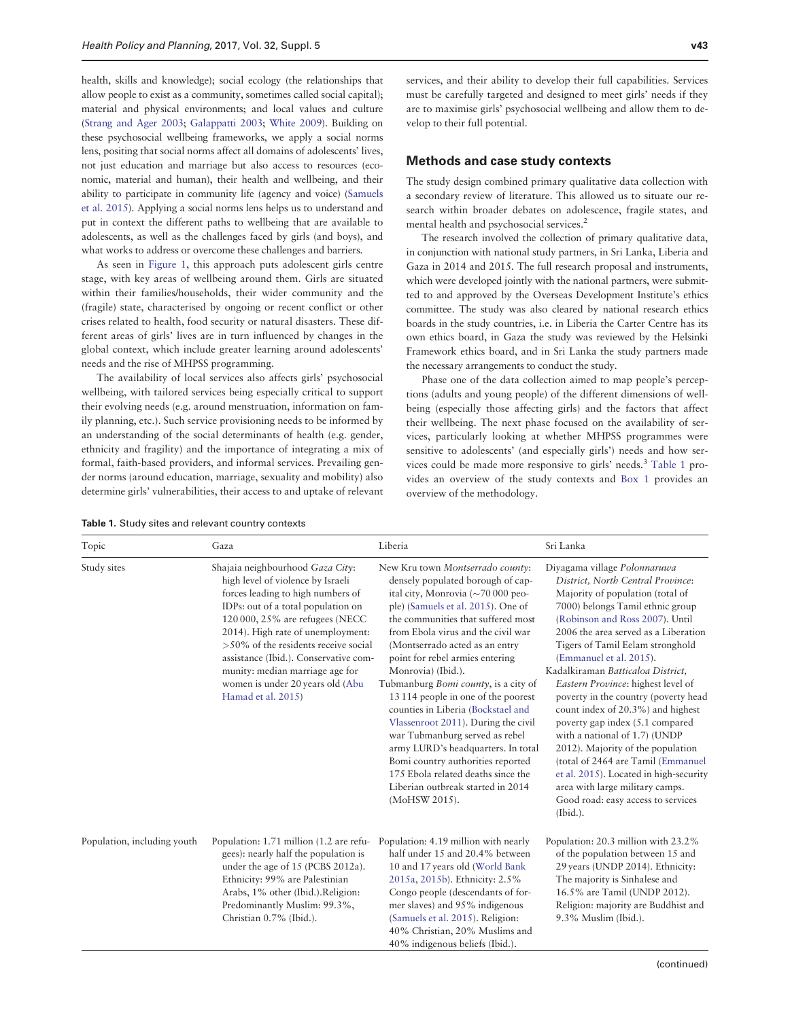<span id="page-3-0"></span>health, skills and knowledge); social ecology (the relationships that allow people to exist as a community, sometimes called social capital); material and physical environments; and local values and culture ([Strang and Ager 2003](#page-10-0); [Galappatti 2003;](#page-10-0) [White 2009\)](#page-11-0). Building on these psychosocial wellbeing frameworks, we apply a social norms lens, positing that social norms affect all domains of adolescents' lives, not just education and marriage but also access to resources (economic, material and human), their health and wellbeing, and their ability to participate in community life (agency and voice) ([Samuels](#page-10-0) [et al. 2015](#page-10-0)). Applying a social norms lens helps us to understand and put in context the different paths to wellbeing that are available to adolescents, as well as the challenges faced by girls (and boys), and what works to address or overcome these challenges and barriers.

As seen in [Figure 1,](#page-2-0) this approach puts adolescent girls centre stage, with key areas of wellbeing around them. Girls are situated within their families/households, their wider community and the (fragile) state, characterised by ongoing or recent conflict or other crises related to health, food security or natural disasters. These different areas of girls' lives are in turn influenced by changes in the global context, which include greater learning around adolescents' needs and the rise of MHPSS programming.

The availability of local services also affects girls' psychosocial wellbeing, with tailored services being especially critical to support their evolving needs (e.g. around menstruation, information on family planning, etc.). Such service provisioning needs to be informed by an understanding of the social determinants of health (e.g. gender, ethnicity and fragility) and the importance of integrating a mix of formal, faith-based providers, and informal services. Prevailing gender norms (around education, marriage, sexuality and mobility) also determine girls' vulnerabilities, their access to and uptake of relevant

services, and their ability to develop their full capabilities. Services must be carefully targeted and designed to meet girls' needs if they are to maximise girls' psychosocial wellbeing and allow them to develop to their full potential.

# Methods and case study contexts

The study design combined primary qualitative data collection with a secondary review of literature. This allowed us to situate our research within broader debates on adolescence, fragile states, and mental health and psychosocial services.2

The research involved the collection of primary qualitative data, in conjunction with national study partners, in Sri Lanka, Liberia and Gaza in 2014 and 2015. The full research proposal and instruments, which were developed jointly with the national partners, were submitted to and approved by the Overseas Development Institute's ethics committee. The study was also cleared by national research ethics boards in the study countries, i.e. in Liberia the Carter Centre has its own ethics board, in Gaza the study was reviewed by the Helsinki Framework ethics board, and in Sri Lanka the study partners made the necessary arrangements to conduct the study.

Phase one of the data collection aimed to map people's perceptions (adults and young people) of the different dimensions of wellbeing (especially those affecting girls) and the factors that affect their wellbeing. The next phase focused on the availability of services, particularly looking at whether MHPSS programmes were sensitive to adolescents' (and especially girls') needs and how services could be made more responsive to girls' needs.<sup>3</sup> Table 1 provides an overview of the study contexts and [Box 1](#page-5-0) provides an overview of the methodology.

| Topic                       | Gaza                                                                                                                                                                                                                                                                                                                                                                                                           | Liberia                                                                                                                                                                                                                                                                                                                                                                                                                                                                                                                                                                                                                                                                                             | Sri Lanka                                                                                                                                                                                                                                                                                                                                                                                                                                                                                                                                                                                                                                                                                                                 |
|-----------------------------|----------------------------------------------------------------------------------------------------------------------------------------------------------------------------------------------------------------------------------------------------------------------------------------------------------------------------------------------------------------------------------------------------------------|-----------------------------------------------------------------------------------------------------------------------------------------------------------------------------------------------------------------------------------------------------------------------------------------------------------------------------------------------------------------------------------------------------------------------------------------------------------------------------------------------------------------------------------------------------------------------------------------------------------------------------------------------------------------------------------------------------|---------------------------------------------------------------------------------------------------------------------------------------------------------------------------------------------------------------------------------------------------------------------------------------------------------------------------------------------------------------------------------------------------------------------------------------------------------------------------------------------------------------------------------------------------------------------------------------------------------------------------------------------------------------------------------------------------------------------------|
| Study sites                 | Shajaia neighbourhood Gaza City:<br>high level of violence by Israeli<br>forces leading to high numbers of<br>IDPs: out of a total population on<br>$120000$ , $25\%$ are refugees (NECC<br>2014). High rate of unemployment:<br>$>50\%$ of the residents receive social<br>assistance (Ibid.). Conservative com-<br>munity: median marriage age for<br>women is under 20 years old (Abu<br>Hamad et al. 2015) | New Kru town Montserrado county:<br>densely populated borough of cap-<br>ital city, Monrovia ( $\sim$ 70 000 peo-<br>ple) (Samuels et al. 2015). One of<br>the communities that suffered most<br>from Ebola virus and the civil war<br>(Montserrado acted as an entry<br>point for rebel armies entering<br>Monrovia) (Ibid.).<br>Tubmanburg Bomi county, is a city of<br>13 114 people in one of the poorest<br>counties in Liberia (Bockstael and<br>Vlassenroot 2011). During the civil<br>war Tubmanburg served as rebel<br>army LURD's headquarters. In total<br>Bomi country authorities reported<br>175 Ebola related deaths since the<br>Liberian outbreak started in 2014<br>(MoHSW 2015). | Diyagama village Polonnaruwa<br>District, North Central Province:<br>Majority of population (total of<br>7000) belongs Tamil ethnic group<br>(Robinson and Ross 2007). Until<br>2006 the area served as a Liberation<br>Tigers of Tamil Eelam stronghold<br>(Emmanuel et al. 2015).<br>Kadalkiraman Batticaloa District,<br>Eastern Province: highest level of<br>poverty in the country (poverty head<br>count index of 20.3%) and highest<br>poverty gap index (5.1 compared<br>with a national of 1.7) (UNDP<br>2012). Majority of the population<br>(total of 2464 are Tamil (Emmanuel<br>et al. 2015). Located in high-security<br>area with large military camps.<br>Good road: easy access to services<br>(Ibid.). |
| Population, including youth | Population: 1.71 million (1.2 are refu-<br>gees): nearly half the population is<br>under the age of 15 (PCBS 2012a).<br>Ethnicity: 99% are Palestinian<br>Arabs, 1% other (Ibid.). Religion:<br>Predominantly Muslim: 99.3%,<br>Christian 0.7% (Ibid.).                                                                                                                                                        | Population: 4.19 million with nearly<br>half under 15 and 20.4% between<br>10 and 17 years old (World Bank<br>2015a, 2015b). Ethnicity: 2.5%<br>Congo people (descendants of for-<br>mer slaves) and 95% indigenous<br>(Samuels et al. 2015). Religion:<br>40% Christian, 20% Muslims and<br>40% indigenous beliefs (Ibid.).                                                                                                                                                                                                                                                                                                                                                                        | Population: 20.3 million with 23.2%<br>of the population between 15 and<br>29 years (UNDP 2014). Ethnicity:<br>The majority is Sinhalese and<br>16.5% are Tamil (UNDP 2012).<br>Religion: majority are Buddhist and<br>9.3% Muslim (Ibid.).                                                                                                                                                                                                                                                                                                                                                                                                                                                                               |

| Table 1. Study sites and relevant country contexts |  |
|----------------------------------------------------|--|
|----------------------------------------------------|--|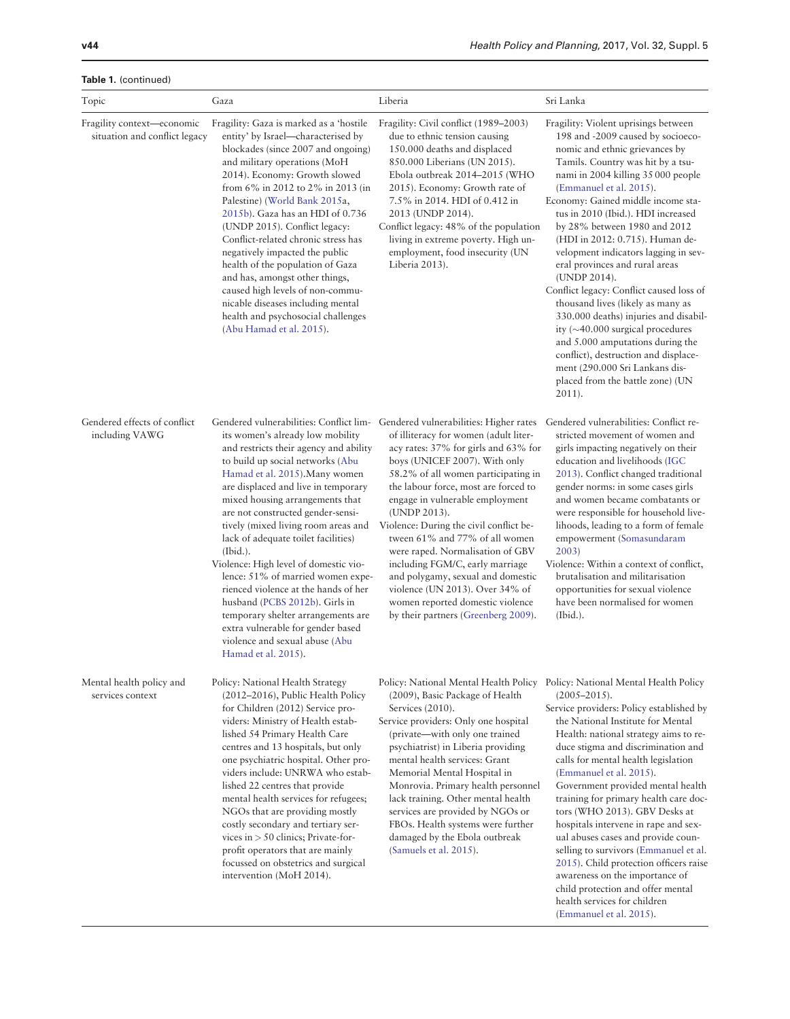# Table 1. (continued)

| Topic                                                       | Gaza                                                                                                                                                                                                                                                                                                                                                                                                                                                                                                                                                                                                                                                                                                                                    | Liberia                                                                                                                                                                                                                                                                                                                                                                                                                                                                                                                                                 | Sri Lanka                                                                                                                                                                                                                                                                                                                                                                                                                                                                                                                                                                                                                                                                                                                                                                                      |
|-------------------------------------------------------------|-----------------------------------------------------------------------------------------------------------------------------------------------------------------------------------------------------------------------------------------------------------------------------------------------------------------------------------------------------------------------------------------------------------------------------------------------------------------------------------------------------------------------------------------------------------------------------------------------------------------------------------------------------------------------------------------------------------------------------------------|---------------------------------------------------------------------------------------------------------------------------------------------------------------------------------------------------------------------------------------------------------------------------------------------------------------------------------------------------------------------------------------------------------------------------------------------------------------------------------------------------------------------------------------------------------|------------------------------------------------------------------------------------------------------------------------------------------------------------------------------------------------------------------------------------------------------------------------------------------------------------------------------------------------------------------------------------------------------------------------------------------------------------------------------------------------------------------------------------------------------------------------------------------------------------------------------------------------------------------------------------------------------------------------------------------------------------------------------------------------|
| Fragility context-economic<br>situation and conflict legacy | Fragility: Gaza is marked as a 'hostile<br>entity' by Israel-characterised by<br>blockades (since 2007 and ongoing)<br>and military operations (MoH<br>2014). Economy: Growth slowed<br>from 6% in 2012 to 2% in 2013 (in<br>Palestine) (World Bank 2015a,<br>2015b). Gaza has an HDI of 0.736<br>(UNDP 2015). Conflict legacy:<br>Conflict-related chronic stress has<br>negatively impacted the public<br>health of the population of Gaza<br>and has, amongst other things,<br>caused high levels of non-commu-<br>nicable diseases including mental<br>health and psychosocial challenges<br>(Abu Hamad et al. 2015).                                                                                                               | Fragility: Civil conflict (1989-2003)<br>due to ethnic tension causing<br>150.000 deaths and displaced<br>850.000 Liberians (UN 2015).<br>Ebola outbreak 2014-2015 (WHO<br>2015). Economy: Growth rate of<br>7.5% in 2014. HDI of 0.412 in<br>2013 (UNDP 2014).<br>Conflict legacy: 48% of the population<br>living in extreme poverty. High un-<br>employment, food insecurity (UN<br>Liberia 2013).                                                                                                                                                   | Fragility: Violent uprisings between<br>198 and -2009 caused by socioeco-<br>nomic and ethnic grievances by<br>Tamils. Country was hit by a tsu-<br>nami in 2004 killing 35 000 people<br>(Emmanuel et al. 2015).<br>Economy: Gained middle income sta-<br>tus in 2010 (Ibid.). HDI increased<br>by 28% between 1980 and 2012<br>(HDI in 2012: 0.715). Human de-<br>velopment indicators lagging in sev-<br>eral provinces and rural areas<br>(UNDP 2014).<br>Conflict legacy: Conflict caused loss of<br>thousand lives (likely as many as<br>330.000 deaths) injuries and disabil-<br>ity ( $\sim$ 40.000 surgical procedures<br>and 5.000 amputations during the<br>conflict), destruction and displace-<br>ment (290.000 Sri Lankans dis-<br>placed from the battle zone) (UN<br>$2011$ ). |
| Gendered effects of conflict<br>including VAWG              | Gendered vulnerabilities: Conflict lim- Gendered vulnerabilities: Higher rates<br>its women's already low mobility<br>and restricts their agency and ability<br>to build up social networks (Abu<br>Hamad et al. 2015). Many women<br>are displaced and live in temporary<br>mixed housing arrangements that<br>are not constructed gender-sensi-<br>tively (mixed living room areas and<br>lack of adequate toilet facilities)<br>(Ibid.).<br>Violence: High level of domestic vio-<br>lence: 51% of married women expe-<br>rienced violence at the hands of her<br>husband (PCBS 2012b). Girls in<br>temporary shelter arrangements are<br>extra vulnerable for gender based<br>violence and sexual abuse (Abu<br>Hamad et al. 2015). | of illiteracy for women (adult liter-<br>acy rates: 37% for girls and 63% for<br>boys (UNICEF 2007). With only<br>58.2% of all women participating in<br>the labour force, most are forced to<br>engage in vulnerable employment<br>(UNDP 2013).<br>Violence: During the civil conflict be-<br>tween 61% and 77% of all women<br>were raped. Normalisation of GBV<br>including FGM/C, early marriage<br>and polygamy, sexual and domestic<br>violence (UN 2013). Over 34% of<br>women reported domestic violence<br>by their partners (Greenberg 2009). | Gendered vulnerabilities: Conflict re-<br>stricted movement of women and<br>girls impacting negatively on their<br>education and livelihoods (IGC<br>2013). Conflict changed traditional<br>gender norms: in some cases girls<br>and women became combatants or<br>were responsible for household live-<br>lihoods, leading to a form of female<br>empowerment (Somasundaram<br>2003)<br>Violence: Within a context of conflict,<br>brutalisation and militarisation<br>opportunities for sexual violence<br>have been normalised for women<br>(Ibid.).                                                                                                                                                                                                                                        |
| Mental health policy and<br>services context                | Policy: National Health Strategy<br>(2012-2016), Public Health Policy<br>for Children (2012) Service pro-<br>viders: Ministry of Health estab-<br>lished 54 Primary Health Care<br>centres and 13 hospitals, but only<br>one psychiatric hospital. Other pro-<br>viders include: UNRWA who estab-<br>lished 22 centres that provide<br>mental health services for refugees;<br>NGOs that are providing mostly<br>costly secondary and tertiary ser-<br>vices in $> 50$ clinics; Private-for-<br>profit operators that are mainly<br>focussed on obstetrics and surgical<br>intervention (MoH 2014).                                                                                                                                     | Policy: National Mental Health Policy Policy: National Mental Health Policy<br>(2009), Basic Package of Health<br>Services (2010).<br>Service providers: Only one hospital<br>(private-with only one trained<br>psychiatrist) in Liberia providing<br>mental health services: Grant<br>Memorial Mental Hospital in<br>Monrovia. Primary health personnel<br>lack training. Other mental health<br>services are provided by NGOs or<br>FBOs. Health systems were further<br>damaged by the Ebola outbreak<br>(Samuels et al. 2015).                      | $(2005 - 2015)$ .<br>Service providers: Policy established by<br>the National Institute for Mental<br>Health: national strategy aims to re-<br>duce stigma and discrimination and<br>calls for mental health legislation<br>(Emmanuel et al. 2015).<br>Government provided mental health<br>training for primary health care doc-<br>tors (WHO 2013). GBV Desks at<br>hospitals intervene in rape and sex-<br>ual abuses cases and provide coun-<br>selling to survivors (Emmanuel et al.<br>2015). Child protection officers raise<br>awareness on the importance of<br>child protection and offer mental<br>health services for children<br>(Emmanuel et al. 2015).                                                                                                                          |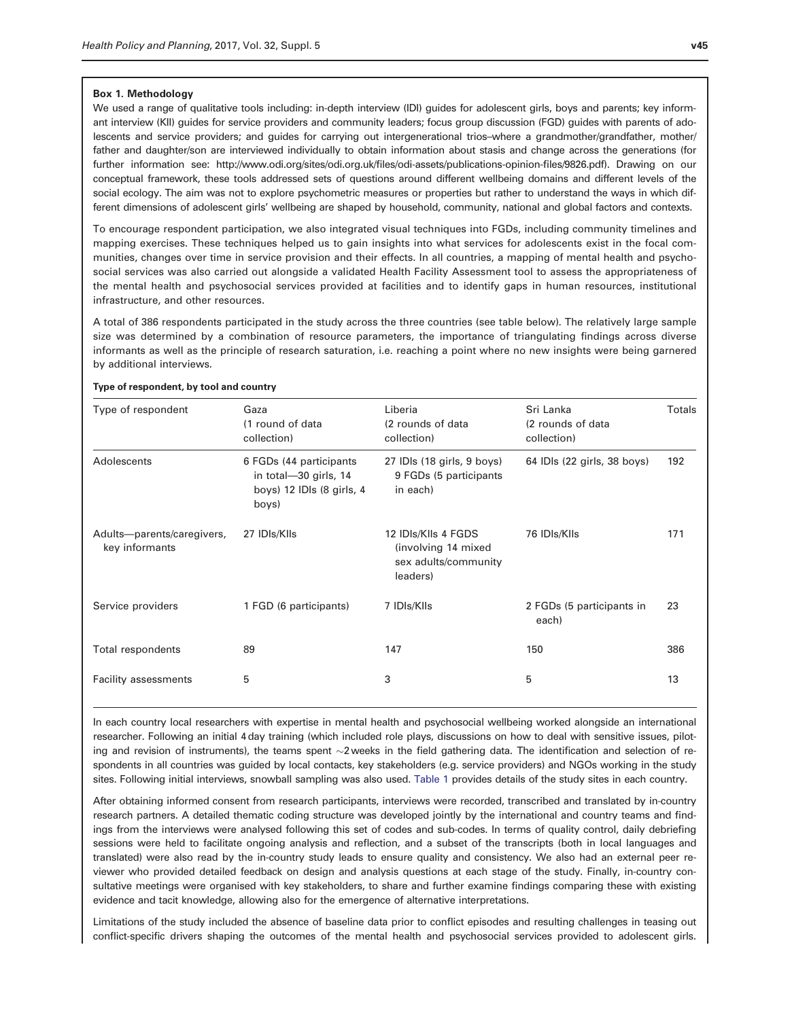#### <span id="page-5-0"></span>Box 1. Methodology

We used a range of qualitative tools including: in-depth interview (IDI) guides for adolescent girls, boys and parents; key informant interview (KII) guides for service providers and community leaders; focus group discussion (FGD) guides with parents of adolescents and service providers; and guides for carrying out intergenerational trios–where a grandmother/grandfather, mother/ father and daughter/son are interviewed individually to obtain information about stasis and change across the generations (for further information see:<http://www.odi.org/sites/odi.org.uk/files/odi-assets/publications-opinion-files/9826.pdf>). Drawing on our conceptual framework, these tools addressed sets of questions around different wellbeing domains and different levels of the social ecology. The aim was not to explore psychometric measures or properties but rather to understand the ways in which different dimensions of adolescent girls' wellbeing are shaped by household, community, national and global factors and contexts.

To encourage respondent participation, we also integrated visual techniques into FGDs, including community timelines and mapping exercises. These techniques helped us to gain insights into what services for adolescents exist in the focal communities, changes over time in service provision and their effects. In all countries, a mapping of mental health and psychosocial services was also carried out alongside a validated Health Facility Assessment tool to assess the appropriateness of the mental health and psychosocial services provided at facilities and to identify gaps in human resources, institutional infrastructure, and other resources.

A total of 386 respondents participated in the study across the three countries (see table below). The relatively large sample size was determined by a combination of resource parameters, the importance of triangulating findings across diverse informants as well as the principle of research saturation, i.e. reaching a point where no new insights were being garnered by additional interviews.

| Type of respondent                           | Gaza<br>(1 round of data<br>collection)                                                 | Liberia<br>(2 rounds of data)<br>collection)                                   | Sri Lanka<br>(2 rounds of data<br>collection) | <b>Totals</b> |
|----------------------------------------------|-----------------------------------------------------------------------------------------|--------------------------------------------------------------------------------|-----------------------------------------------|---------------|
| Adolescents                                  | 6 FGDs (44 participants)<br>in total-30 girls, 14<br>boys) 12 IDIs (8 girls, 4<br>boys) | 27 IDIs (18 girls, 9 boys)<br>9 FGDs (5 participants)<br>in each)              | 64 IDIs (22 girls, 38 boys)                   | 192           |
| Adults-parents/caregivers,<br>key informants | 27 IDIs/Klls                                                                            | 12 IDIs/KIIs 4 FGDS<br>(involving 14 mixed<br>sex adults/community<br>leaders) | 76 IDIs/KIIs                                  | 171           |
| Service providers                            | 1 FGD (6 participants)                                                                  | 7 IDIs/KIIs                                                                    | 2 FGDs (5 participants in<br>each)            | 23            |
| Total respondents                            | 89                                                                                      | 147                                                                            | 150                                           | 386           |
| Facility assessments                         | 5                                                                                       | 3                                                                              | 5                                             | 13            |

#### Type of respondent, by tool and country

In each country local researchers with expertise in mental health and psychosocial wellbeing worked alongside an international researcher. Following an initial 4 day training (which included role plays, discussions on how to deal with sensitive issues, piloting and revision of instruments), the teams spent  $\sim$ 2 weeks in the field gathering data. The identification and selection of respondents in all countries was guided by local contacts, key stakeholders (e.g. service providers) and NGOs working in the study sites. Following initial interviews, snowball sampling was also used. [Table 1](#page-3-0) provides details of the study sites in each country.

After obtaining informed consent from research participants, interviews were recorded, transcribed and translated by in-country research partners. A detailed thematic coding structure was developed jointly by the international and country teams and findings from the interviews were analysed following this set of codes and sub-codes. In terms of quality control, daily debriefing sessions were held to facilitate ongoing analysis and reflection, and a subset of the transcripts (both in local languages and translated) were also read by the in-country study leads to ensure quality and consistency. We also had an external peer reviewer who provided detailed feedback on design and analysis questions at each stage of the study. Finally, in-country consultative meetings were organised with key stakeholders, to share and further examine findings comparing these with existing evidence and tacit knowledge, allowing also for the emergence of alternative interpretations.

Limitations of the study included the absence of baseline data prior to conflict episodes and resulting challenges in teasing out conflict-specific drivers shaping the outcomes of the mental health and psychosocial services provided to adolescent girls.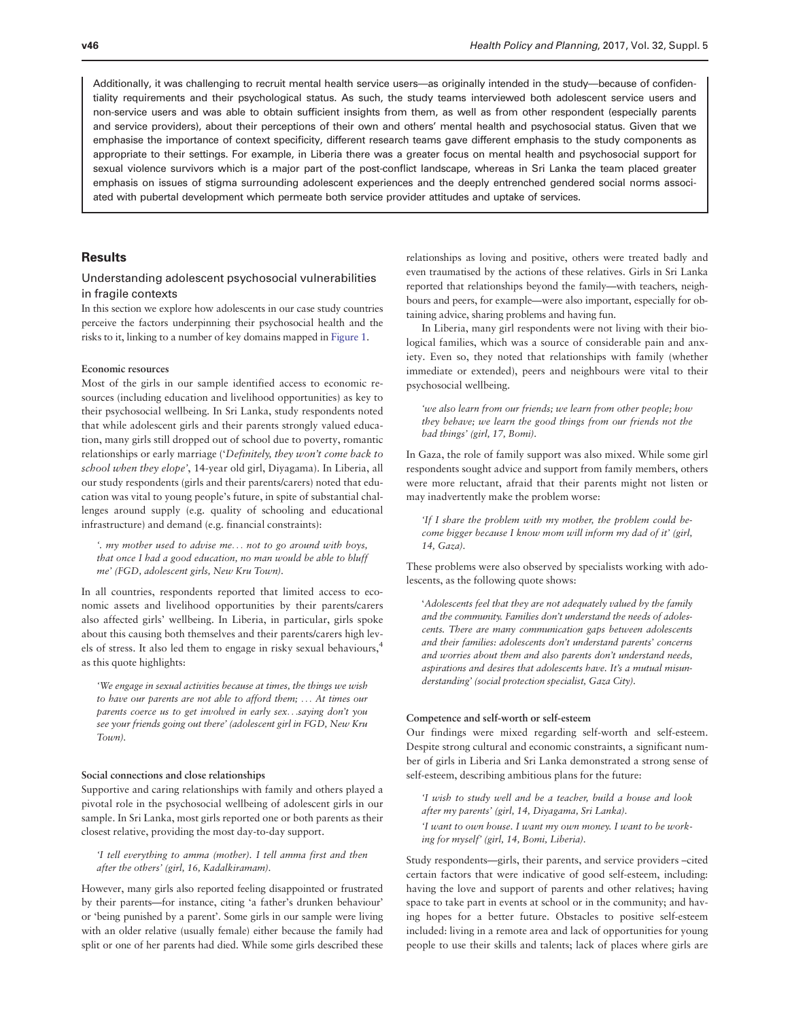Additionally, it was challenging to recruit mental health service users—as originally intended in the study—because of confidentiality requirements and their psychological status. As such, the study teams interviewed both adolescent service users and non-service users and was able to obtain sufficient insights from them, as well as from other respondent (especially parents and service providers), about their perceptions of their own and others' mental health and psychosocial status. Given that we emphasise the importance of context specificity, different research teams gave different emphasis to the study components as appropriate to their settings. For example, in Liberia there was a greater focus on mental health and psychosocial support for sexual violence survivors which is a major part of the post-conflict landscape, whereas in Sri Lanka the team placed greater emphasis on issues of stigma surrounding adolescent experiences and the deeply entrenched gendered social norms associated with pubertal development which permeate both service provider attitudes and uptake of services.

# **Results**

# Understanding adolescent psychosocial vulnerabilities in fragile contexts

In this section we explore how adolescents in our case study countries perceive the factors underpinning their psychosocial health and the risks to it, linking to a number of key domains mapped in [Figure 1](#page-2-0).

#### Economic resources

Most of the girls in our sample identified access to economic resources (including education and livelihood opportunities) as key to their psychosocial wellbeing. In Sri Lanka, study respondents noted that while adolescent girls and their parents strongly valued education, many girls still dropped out of school due to poverty, romantic relationships or early marriage ('Definitely, they won't come back to school when they elope', 14-year old girl, Diyagama). In Liberia, all our study respondents (girls and their parents/carers) noted that education was vital to young people's future, in spite of substantial challenges around supply (e.g. quality of schooling and educational infrastructure) and demand (e.g. financial constraints):

'. my mother used to advise me... not to go around with boys, that once I had a good education, no man would be able to bluff me' (FGD, adolescent girls, New Kru Town).

In all countries, respondents reported that limited access to economic assets and livelihood opportunities by their parents/carers also affected girls' wellbeing. In Liberia, in particular, girls spoke about this causing both themselves and their parents/carers high levels of stress. It also led them to engage in risky sexual behaviours,<sup>4</sup> as this quote highlights:

'We engage in sexual activities because at times, the things we wish to have our parents are not able to afford them; ... At times our parents coerce us to get involved in early sex...saying don't you see your friends going out there' (adolescent girl in FGD, New Kru Town).

#### Social connections and close relationships

Supportive and caring relationships with family and others played a pivotal role in the psychosocial wellbeing of adolescent girls in our sample. In Sri Lanka, most girls reported one or both parents as their closest relative, providing the most day-to-day support.

# 'I tell everything to amma (mother). I tell amma first and then after the others' (girl, 16, Kadalkiramam).

However, many girls also reported feeling disappointed or frustrated by their parents—for instance, citing 'a father's drunken behaviour' or 'being punished by a parent'. Some girls in our sample were living with an older relative (usually female) either because the family had split or one of her parents had died. While some girls described these

relationships as loving and positive, others were treated badly and even traumatised by the actions of these relatives. Girls in Sri Lanka reported that relationships beyond the family—with teachers, neighbours and peers, for example—were also important, especially for obtaining advice, sharing problems and having fun.

In Liberia, many girl respondents were not living with their biological families, which was a source of considerable pain and anxiety. Even so, they noted that relationships with family (whether immediate or extended), peers and neighbours were vital to their psychosocial wellbeing.

'we also learn from our friends; we learn from other people; how they behave; we learn the good things from our friends not the bad things' (girl, 17, Bomi).

In Gaza, the role of family support was also mixed. While some girl respondents sought advice and support from family members, others were more reluctant, afraid that their parents might not listen or may inadvertently make the problem worse:

'If I share the problem with my mother, the problem could become bigger because I know mom will inform my dad of it' (girl, 14, Gaza).

These problems were also observed by specialists working with adolescents, as the following quote shows:

'Adolescents feel that they are not adequately valued by the family and the community. Families don't understand the needs of adolescents. There are many communication gaps between adolescents and their families: adolescents don't understand parents' concerns and worries about them and also parents don't understand needs, aspirations and desires that adolescents have. It's a mutual misunderstanding' (social protection specialist, Gaza City).

# Competence and self-worth or self-esteem

Our findings were mixed regarding self-worth and self-esteem. Despite strong cultural and economic constraints, a significant number of girls in Liberia and Sri Lanka demonstrated a strong sense of self-esteem, describing ambitious plans for the future:

'I wish to study well and be a teacher, build a house and look after my parents' (girl, 14, Diyagama, Sri Lanka). 'I want to own house. I want my own money. I want to be working for myself' (girl, 14, Bomi, Liberia).

Study respondents—girls, their parents, and service providers –cited certain factors that were indicative of good self-esteem, including: having the love and support of parents and other relatives; having space to take part in events at school or in the community; and having hopes for a better future. Obstacles to positive self-esteem included: living in a remote area and lack of opportunities for young people to use their skills and talents; lack of places where girls are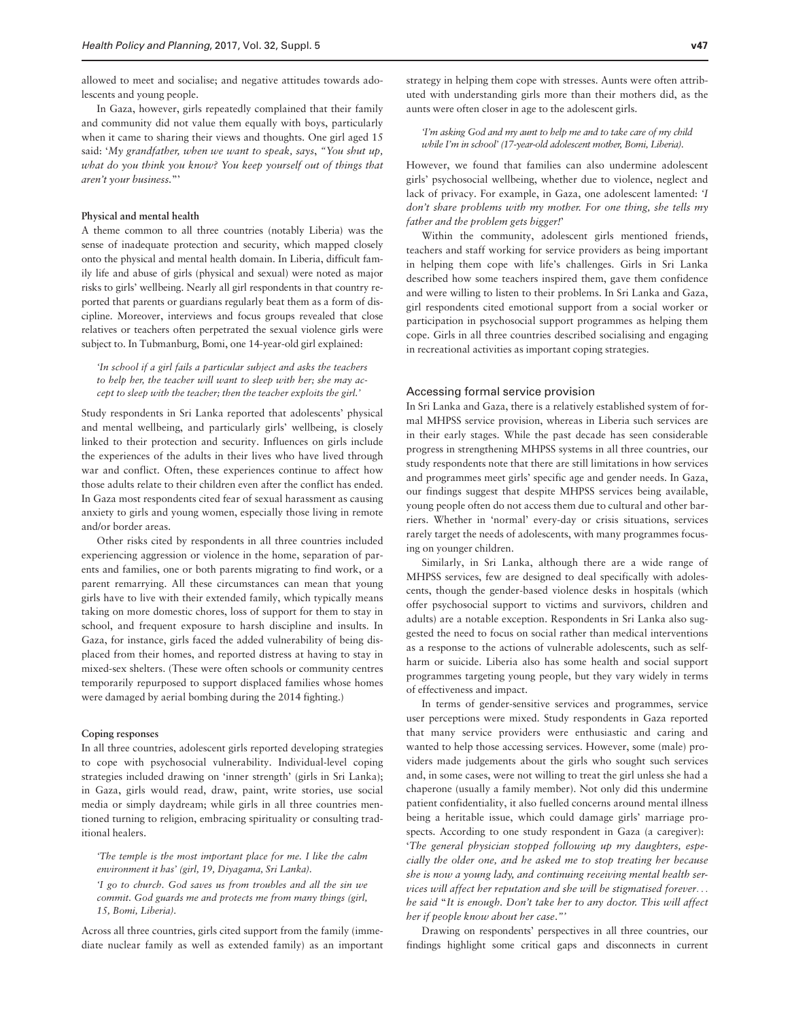allowed to meet and socialise; and negative attitudes towards adolescents and young people.

In Gaza, however, girls repeatedly complained that their family and community did not value them equally with boys, particularly when it came to sharing their views and thoughts. One girl aged 15 said: 'My grandfather, when we want to speak, says, "You shut up, what do you think you know? You keep yourself out of things that aren't your business."'

#### Physical and mental health

A theme common to all three countries (notably Liberia) was the sense of inadequate protection and security, which mapped closely onto the physical and mental health domain. In Liberia, difficult family life and abuse of girls (physical and sexual) were noted as major risks to girls' wellbeing. Nearly all girl respondents in that country reported that parents or guardians regularly beat them as a form of discipline. Moreover, interviews and focus groups revealed that close relatives or teachers often perpetrated the sexual violence girls were subject to. In Tubmanburg, Bomi, one 14-year-old girl explained:

'In school if a girl fails a particular subject and asks the teachers to help her, the teacher will want to sleep with her; she may accept to sleep with the teacher; then the teacher exploits the girl.'

Study respondents in Sri Lanka reported that adolescents' physical and mental wellbeing, and particularly girls' wellbeing, is closely linked to their protection and security. Influences on girls include the experiences of the adults in their lives who have lived through war and conflict. Often, these experiences continue to affect how those adults relate to their children even after the conflict has ended. In Gaza most respondents cited fear of sexual harassment as causing anxiety to girls and young women, especially those living in remote and/or border areas.

Other risks cited by respondents in all three countries included experiencing aggression or violence in the home, separation of parents and families, one or both parents migrating to find work, or a parent remarrying. All these circumstances can mean that young girls have to live with their extended family, which typically means taking on more domestic chores, loss of support for them to stay in school, and frequent exposure to harsh discipline and insults. In Gaza, for instance, girls faced the added vulnerability of being displaced from their homes, and reported distress at having to stay in mixed-sex shelters. (These were often schools or community centres temporarily repurposed to support displaced families whose homes were damaged by aerial bombing during the 2014 fighting.)

#### Coping responses

In all three countries, adolescent girls reported developing strategies to cope with psychosocial vulnerability. Individual-level coping strategies included drawing on 'inner strength' (girls in Sri Lanka); in Gaza, girls would read, draw, paint, write stories, use social media or simply daydream; while girls in all three countries mentioned turning to religion, embracing spirituality or consulting traditional healers.

'The temple is the most important place for me. I like the calm environment it has' (girl, 19, Diyagama, Sri Lanka).

'I go to church. God saves us from troubles and all the sin we commit. God guards me and protects me from many things (girl, 15, Bomi, Liberia).

Across all three countries, girls cited support from the family (immediate nuclear family as well as extended family) as an important

strategy in helping them cope with stresses. Aunts were often attributed with understanding girls more than their mothers did, as the aunts were often closer in age to the adolescent girls.

'I'm asking God and my aunt to help me and to take care of my child while I'm in school' (17-year-old adolescent mother, Bomi, Liberia).

However, we found that families can also undermine adolescent girls' psychosocial wellbeing, whether due to violence, neglect and lack of privacy. For example, in Gaza, one adolescent lamented: 'I don't share problems with my mother. For one thing, she tells my father and the problem gets bigger!'

Within the community, adolescent girls mentioned friends, teachers and staff working for service providers as being important in helping them cope with life's challenges. Girls in Sri Lanka described how some teachers inspired them, gave them confidence and were willing to listen to their problems. In Sri Lanka and Gaza, girl respondents cited emotional support from a social worker or participation in psychosocial support programmes as helping them cope. Girls in all three countries described socialising and engaging in recreational activities as important coping strategies.

#### Accessing formal service provision

In Sri Lanka and Gaza, there is a relatively established system of formal MHPSS service provision, whereas in Liberia such services are in their early stages. While the past decade has seen considerable progress in strengthening MHPSS systems in all three countries, our study respondents note that there are still limitations in how services and programmes meet girls' specific age and gender needs. In Gaza, our findings suggest that despite MHPSS services being available, young people often do not access them due to cultural and other barriers. Whether in 'normal' every-day or crisis situations, services rarely target the needs of adolescents, with many programmes focusing on younger children.

Similarly, in Sri Lanka, although there are a wide range of MHPSS services, few are designed to deal specifically with adolescents, though the gender-based violence desks in hospitals (which offer psychosocial support to victims and survivors, children and adults) are a notable exception. Respondents in Sri Lanka also suggested the need to focus on social rather than medical interventions as a response to the actions of vulnerable adolescents, such as selfharm or suicide. Liberia also has some health and social support programmes targeting young people, but they vary widely in terms of effectiveness and impact.

In terms of gender-sensitive services and programmes, service user perceptions were mixed. Study respondents in Gaza reported that many service providers were enthusiastic and caring and wanted to help those accessing services. However, some (male) providers made judgements about the girls who sought such services and, in some cases, were not willing to treat the girl unless she had a chaperone (usually a family member). Not only did this undermine patient confidentiality, it also fuelled concerns around mental illness being a heritable issue, which could damage girls' marriage prospects. According to one study respondent in Gaza (a caregiver): 'The general physician stopped following up my daughters, especially the older one, and he asked me to stop treating her because she is now a young lady, and continuing receiving mental health services will affect her reputation and she will be stigmatised forever... he said "It is enough. Don't take her to any doctor. This will affect her if people know about her case."'

Drawing on respondents' perspectives in all three countries, our findings highlight some critical gaps and disconnects in current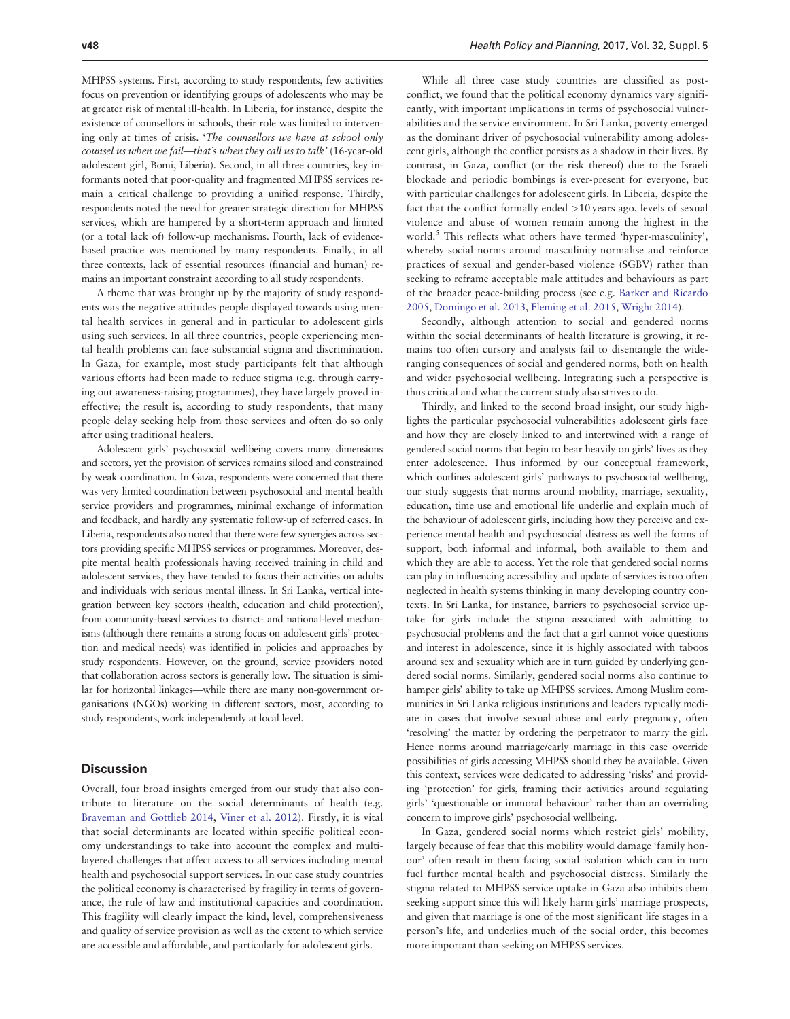MHPSS systems. First, according to study respondents, few activities focus on prevention or identifying groups of adolescents who may be at greater risk of mental ill-health. In Liberia, for instance, despite the existence of counsellors in schools, their role was limited to intervening only at times of crisis. 'The counsellors we have at school only counsel us when we fail—that's when they call us to talk' (16-year-old adolescent girl, Bomi, Liberia). Second, in all three countries, key informants noted that poor-quality and fragmented MHPSS services remain a critical challenge to providing a unified response. Thirdly, respondents noted the need for greater strategic direction for MHPSS services, which are hampered by a short-term approach and limited (or a total lack of) follow-up mechanisms. Fourth, lack of evidencebased practice was mentioned by many respondents. Finally, in all three contexts, lack of essential resources (financial and human) remains an important constraint according to all study respondents.

A theme that was brought up by the majority of study respondents was the negative attitudes people displayed towards using mental health services in general and in particular to adolescent girls using such services. In all three countries, people experiencing mental health problems can face substantial stigma and discrimination. In Gaza, for example, most study participants felt that although various efforts had been made to reduce stigma (e.g. through carrying out awareness-raising programmes), they have largely proved ineffective; the result is, according to study respondents, that many people delay seeking help from those services and often do so only after using traditional healers.

Adolescent girls' psychosocial wellbeing covers many dimensions and sectors, yet the provision of services remains siloed and constrained by weak coordination. In Gaza, respondents were concerned that there was very limited coordination between psychosocial and mental health service providers and programmes, minimal exchange of information and feedback, and hardly any systematic follow-up of referred cases. In Liberia, respondents also noted that there were few synergies across sectors providing specific MHPSS services or programmes. Moreover, despite mental health professionals having received training in child and adolescent services, they have tended to focus their activities on adults and individuals with serious mental illness. In Sri Lanka, vertical integration between key sectors (health, education and child protection), from community-based services to district- and national-level mechanisms (although there remains a strong focus on adolescent girls' protection and medical needs) was identified in policies and approaches by study respondents. However, on the ground, service providers noted that collaboration across sectors is generally low. The situation is similar for horizontal linkages—while there are many non-government organisations (NGOs) working in different sectors, most, according to study respondents, work independently at local level.

# **Discussion**

Overall, four broad insights emerged from our study that also contribute to literature on the social determinants of health (e.g. [Braveman and Gottlieb 2014](#page-10-0), [Viner et al. 2012](#page-11-0)). Firstly, it is vital that social determinants are located within specific political economy understandings to take into account the complex and multilayered challenges that affect access to all services including mental health and psychosocial support services. In our case study countries the political economy is characterised by fragility in terms of governance, the rule of law and institutional capacities and coordination. This fragility will clearly impact the kind, level, comprehensiveness and quality of service provision as well as the extent to which service are accessible and affordable, and particularly for adolescent girls.

While all three case study countries are classified as postconflict, we found that the political economy dynamics vary significantly, with important implications in terms of psychosocial vulnerabilities and the service environment. In Sri Lanka, poverty emerged as the dominant driver of psychosocial vulnerability among adolescent girls, although the conflict persists as a shadow in their lives. By contrast, in Gaza, conflict (or the risk thereof) due to the Israeli blockade and periodic bombings is ever-present for everyone, but with particular challenges for adolescent girls. In Liberia, despite the fact that the conflict formally ended >10 years ago, levels of sexual violence and abuse of women remain among the highest in the world.<sup>5</sup> This reflects what others have termed 'hyper-masculinity', whereby social norms around masculinity normalise and reinforce practices of sexual and gender-based violence (SGBV) rather than seeking to reframe acceptable male attitudes and behaviours as part of the broader peace-building process (see e.g. [Barker and Ricardo](#page-10-0) [2005,](#page-10-0) [Domingo et al. 2013,](#page-10-0) [Fleming et al. 2015,](#page-10-0) [Wright 2014\)](#page-11-0).

Secondly, although attention to social and gendered norms within the social determinants of health literature is growing, it remains too often cursory and analysts fail to disentangle the wideranging consequences of social and gendered norms, both on health and wider psychosocial wellbeing. Integrating such a perspective is thus critical and what the current study also strives to do.

Thirdly, and linked to the second broad insight, our study highlights the particular psychosocial vulnerabilities adolescent girls face and how they are closely linked to and intertwined with a range of gendered social norms that begin to bear heavily on girls' lives as they enter adolescence. Thus informed by our conceptual framework, which outlines adolescent girls' pathways to psychosocial wellbeing, our study suggests that norms around mobility, marriage, sexuality, education, time use and emotional life underlie and explain much of the behaviour of adolescent girls, including how they perceive and experience mental health and psychosocial distress as well the forms of support, both informal and informal, both available to them and which they are able to access. Yet the role that gendered social norms can play in influencing accessibility and update of services is too often neglected in health systems thinking in many developing country contexts. In Sri Lanka, for instance, barriers to psychosocial service uptake for girls include the stigma associated with admitting to psychosocial problems and the fact that a girl cannot voice questions and interest in adolescence, since it is highly associated with taboos around sex and sexuality which are in turn guided by underlying gendered social norms. Similarly, gendered social norms also continue to hamper girls' ability to take up MHPSS services. Among Muslim communities in Sri Lanka religious institutions and leaders typically mediate in cases that involve sexual abuse and early pregnancy, often 'resolving' the matter by ordering the perpetrator to marry the girl. Hence norms around marriage/early marriage in this case override possibilities of girls accessing MHPSS should they be available. Given this context, services were dedicated to addressing 'risks' and providing 'protection' for girls, framing their activities around regulating girls' 'questionable or immoral behaviour' rather than an overriding concern to improve girls' psychosocial wellbeing.

In Gaza, gendered social norms which restrict girls' mobility, largely because of fear that this mobility would damage 'family honour' often result in them facing social isolation which can in turn fuel further mental health and psychosocial distress. Similarly the stigma related to MHPSS service uptake in Gaza also inhibits them seeking support since this will likely harm girls' marriage prospects, and given that marriage is one of the most significant life stages in a person's life, and underlies much of the social order, this becomes more important than seeking on MHPSS services.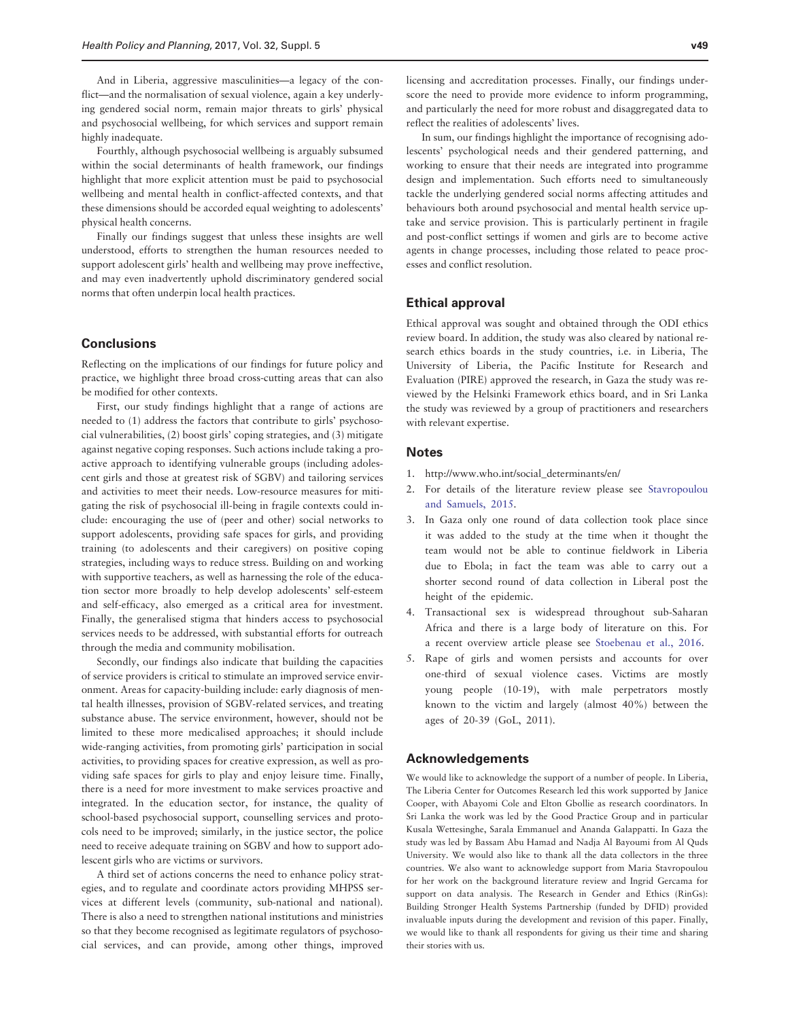And in Liberia, aggressive masculinities—a legacy of the conflict—and the normalisation of sexual violence, again a key underlying gendered social norm, remain major threats to girls' physical and psychosocial wellbeing, for which services and support remain highly inadequate.

Fourthly, although psychosocial wellbeing is arguably subsumed within the social determinants of health framework, our findings highlight that more explicit attention must be paid to psychosocial wellbeing and mental health in conflict-affected contexts, and that these dimensions should be accorded equal weighting to adolescents' physical health concerns.

Finally our findings suggest that unless these insights are well understood, efforts to strengthen the human resources needed to support adolescent girls' health and wellbeing may prove ineffective, and may even inadvertently uphold discriminatory gendered social norms that often underpin local health practices.

# **Conclusions**

Reflecting on the implications of our findings for future policy and practice, we highlight three broad cross-cutting areas that can also be modified for other contexts.

First, our study findings highlight that a range of actions are needed to (1) address the factors that contribute to girls' psychosocial vulnerabilities, (2) boost girls' coping strategies, and (3) mitigate against negative coping responses. Such actions include taking a proactive approach to identifying vulnerable groups (including adolescent girls and those at greatest risk of SGBV) and tailoring services and activities to meet their needs. Low-resource measures for mitigating the risk of psychosocial ill-being in fragile contexts could include: encouraging the use of (peer and other) social networks to support adolescents, providing safe spaces for girls, and providing training (to adolescents and their caregivers) on positive coping strategies, including ways to reduce stress. Building on and working with supportive teachers, as well as harnessing the role of the education sector more broadly to help develop adolescents' self-esteem and self-efficacy, also emerged as a critical area for investment. Finally, the generalised stigma that hinders access to psychosocial services needs to be addressed, with substantial efforts for outreach through the media and community mobilisation.

Secondly, our findings also indicate that building the capacities of service providers is critical to stimulate an improved service environment. Areas for capacity-building include: early diagnosis of mental health illnesses, provision of SGBV-related services, and treating substance abuse. The service environment, however, should not be limited to these more medicalised approaches; it should include wide-ranging activities, from promoting girls' participation in social activities, to providing spaces for creative expression, as well as providing safe spaces for girls to play and enjoy leisure time. Finally, there is a need for more investment to make services proactive and integrated. In the education sector, for instance, the quality of school-based psychosocial support, counselling services and protocols need to be improved; similarly, in the justice sector, the police need to receive adequate training on SGBV and how to support adolescent girls who are victims or survivors.

A third set of actions concerns the need to enhance policy strategies, and to regulate and coordinate actors providing MHPSS services at different levels (community, sub-national and national). There is also a need to strengthen national institutions and ministries so that they become recognised as legitimate regulators of psychosocial services, and can provide, among other things, improved

licensing and accreditation processes. Finally, our findings underscore the need to provide more evidence to inform programming, and particularly the need for more robust and disaggregated data to reflect the realities of adolescents' lives.

In sum, our findings highlight the importance of recognising adolescents' psychological needs and their gendered patterning, and working to ensure that their needs are integrated into programme design and implementation. Such efforts need to simultaneously tackle the underlying gendered social norms affecting attitudes and behaviours both around psychosocial and mental health service uptake and service provision. This is particularly pertinent in fragile and post-conflict settings if women and girls are to become active agents in change processes, including those related to peace processes and conflict resolution.

# Ethical approval

Ethical approval was sought and obtained through the ODI ethics review board. In addition, the study was also cleared by national research ethics boards in the study countries, i.e. in Liberia, The University of Liberia, the Pacific Institute for Research and Evaluation (PIRE) approved the research, in Gaza the study was reviewed by the Helsinki Framework ethics board, and in Sri Lanka the study was reviewed by a group of practitioners and researchers with relevant expertise.

# **Notes**

- 1. [http://www.who.int/social\\_determinants/en/](http://www.who.int/social_determinants/en/)
- 2. For details of the literature review please see [Stavropoulou](#page-10-0) [and Samuels, 2015](#page-10-0).
- 3. In Gaza only one round of data collection took place since it was added to the study at the time when it thought the team would not be able to continue fieldwork in Liberia due to Ebola; in fact the team was able to carry out a shorter second round of data collection in Liberal post the height of the epidemic.
- 4. Transactional sex is widespread throughout sub-Saharan Africa and there is a large body of literature on this. For a recent overview article please see [Stoebenau et al., 2016.](#page-10-0)
- 5. Rape of girls and women persists and accounts for over one-third of sexual violence cases. Victims are mostly young people (10-19), with male perpetrators mostly known to the victim and largely (almost 40%) between the ages of 20-39 (GoL, 2011).

# Acknowledgements

We would like to acknowledge the support of a number of people. In Liberia, The Liberia Center for Outcomes Research led this work supported by Janice Cooper, with Abayomi Cole and Elton Gbollie as research coordinators. In Sri Lanka the work was led by the Good Practice Group and in particular Kusala Wettesinghe, Sarala Emmanuel and Ananda Galappatti. In Gaza the study was led by Bassam Abu Hamad and Nadja Al Bayoumi from Al Quds University. We would also like to thank all the data collectors in the three countries. We also want to acknowledge support from Maria Stavropoulou for her work on the background literature review and Ingrid Gercama for support on data analysis. The Research in Gender and Ethics (RinGs): Building Stronger Health Systems Partnership (funded by DFID) provided invaluable inputs during the development and revision of this paper. Finally, we would like to thank all respondents for giving us their time and sharing their stories with us.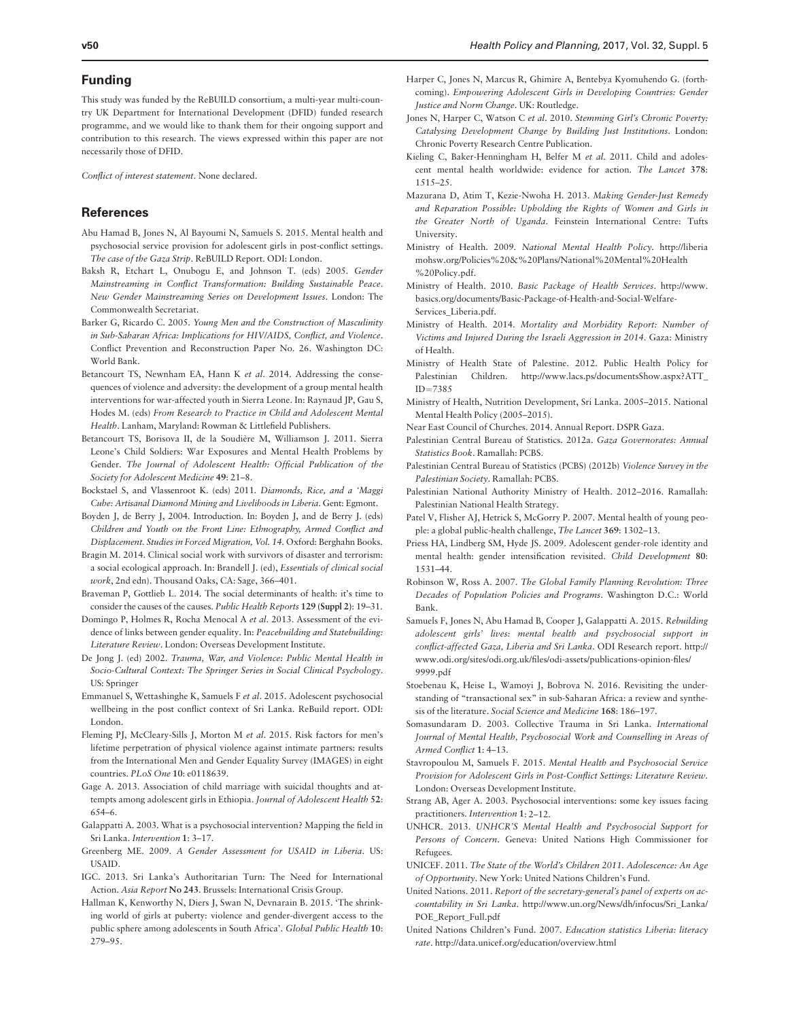#### <span id="page-10-0"></span>Funding

This study was funded by the ReBUILD consortium, a multi-year multi-country UK Department for International Development (DFID) funded research programme, and we would like to thank them for their ongoing support and contribution to this research. The views expressed within this paper are not necessarily those of DFID.

Conflict of interest statement. None declared.

# References

- Abu Hamad B, Jones N, Al Bayoumi N, Samuels S. 2015. Mental health and psychosocial service provision for adolescent girls in post-conflict settings. The case of the Gaza Strip. ReBUILD Report. ODI: London.
- Baksh R, Etchart L, Onubogu E, and Johnson T. (eds) 2005. Gender Mainstreaming in Conflict Transformation: Building Sustainable Peace. New Gender Mainstreaming Series on Development Issues. London: The Commonwealth Secretariat.
- Barker G, Ricardo C. 2005. Young Men and the Construction of Masculinity in Sub-Saharan Africa: Implications for HIV/AIDS, Conflict, and Violence. Conflict Prevention and Reconstruction Paper No. 26. Washington DC: World Bank.
- Betancourt TS, Newnham EA, Hann K et al. 2014. Addressing the consequences of violence and adversity: the development of a group mental health interventions for war-affected youth in Sierra Leone. In: Raynaud JP, Gau S, Hodes M. (eds) From Research to Practice in Child and Adolescent Mental Health. Lanham, Maryland: Rowman & Littlefield Publishers.
- Betancourt TS, Borisova II, de la Soudière M, Williamson J. 2011. Sierra Leone's Child Soldiers: War Exposures and Mental Health Problems by Gender. The Journal of Adolescent Health: Official Publication of the Society for Adolescent Medicine 49: 21–8.
- Bockstael S, and Vlassenroot K. (eds) 2011. Diamonds, Rice, and a 'Maggi Cube: Artisanal Diamond Mining and Livelihoods in Liberia. Gent: Egmont.
- Boyden J, de Berry J, 2004. Introduction. In: Boyden J, and de Berry J. (eds) Children and Youth on the Front Line: Ethnography, Armed Conflict and Displacement. Studies in Forced Migration, Vol. 14. Oxford: Berghahn Books.
- Bragin M. 2014. Clinical social work with survivors of disaster and terrorism: a social ecological approach. In: Brandell J. (ed), Essentials of clinical social work, 2nd edn). Thousand Oaks, CA: Sage, 366–401.
- Braveman P, Gottlieb L. 2014. The social determinants of health: it's time to consider the causes of the causes. Public Health Reports 129 (Suppl 2): 19–31.
- Domingo P, Holmes R, Rocha Menocal A et al. 2013. Assessment of the evidence of links between gender equality. In: Peacebuilding and Statebuilding: Literature Review. London: Overseas Development Institute.
- De Jong J. (ed) 2002. Trauma, War, and Violence: Public Mental Health in Socio-Cultural Context: The Springer Series in Social Clinical Psychology. US: Springer
- Emmanuel S, Wettashinghe K, Samuels F et al. 2015. Adolescent psychosocial wellbeing in the post conflict context of Sri Lanka. ReBuild report. ODI: London.
- Fleming PJ, McCleary-Sills J, Morton M et al. 2015. Risk factors for men's lifetime perpetration of physical violence against intimate partners: results from the International Men and Gender Equality Survey (IMAGES) in eight countries. PLoS One 10: e0118639.
- Gage A. 2013. Association of child marriage with suicidal thoughts and attempts among adolescent girls in Ethiopia. Journal of Adolescent Health 52: 654–6.
- Galappatti A. 2003. What is a psychosocial intervention? Mapping the field in Sri Lanka. Intervention 1: 3–17.
- Greenberg ME. 2009. A Gender Assessment for USAID in Liberia. US: USAID.
- IGC. 2013. Sri Lanka's Authoritarian Turn: The Need for International Action. Asia Report No 243. Brussels: International Crisis Group.
- Hallman K, Kenworthy N, Diers J, Swan N, Devnarain B. 2015. 'The shrinking world of girls at puberty: violence and gender-divergent access to the public sphere among adolescents in South Africa'. Global Public Health 10: 279–95.
- Harper C, Jones N, Marcus R, Ghimire A, Bentebya Kyomuhendo G. (forthcoming). Empowering Adolescent Girls in Developing Countries: Gender Justice and Norm Change. UK: Routledge.
- Jones N, Harper C, Watson C et al. 2010. Stemming Girl's Chronic Poverty: Catalysing Development Change by Building Just Institutions. London: Chronic Poverty Research Centre Publication.
- Kieling C, Baker-Henningham H, Belfer M et al. 2011. Child and adolescent mental health worldwide: evidence for action. The Lancet 378: 1515–25.
- Mazurana D, Atim T, Kezie-Nwoha H. 2013. Making Gender-Just Remedy and Reparation Possible: Upholding the Rights of Women and Girls in the Greater North of Uganda. Feinstein International Centre: Tufts University.
- Ministry of Health. 2009. National Mental Health Policy. [http://liberia](http://liberiamohsw.org/Policies%20&hx0026;%20Plans/National%20Mental%20Health%20Policy.pdf) [mohsw.org/Policies%20](http://liberiamohsw.org/Policies%20&hx0026;%20Plans/National%20Mental%20Health%20Policy.pdf)&%[20Plans/National](http://liberiamohsw.org/Policies%20&hx0026;%20Plans/National%20Mental%20Health%20Policy.pdf)%[20Mental%20Health](http://liberiamohsw.org/Policies%20&hx0026;%20Plans/National%20Mental%20Health%20Policy.pdf) [%20Policy.pdf](http://liberiamohsw.org/Policies%20&hx0026;%20Plans/National%20Mental%20Health%20Policy.pdf).
- Ministry of Health. 2010. Basic Package of Health Services. [http://www.](http://www.basics.org/documents/Basic-Package-of-Health-and-Social-Welfare-Services_Liberia.pdf) [basics.org/documents/Basic-Package-of-Health-and-Social-Welfare-](http://www.basics.org/documents/Basic-Package-of-Health-and-Social-Welfare-Services_Liberia.pdf)[Services\\_Liberia.pdf.](http://www.basics.org/documents/Basic-Package-of-Health-and-Social-Welfare-Services_Liberia.pdf)
- Ministry of Health. 2014. Mortality and Morbidity Report: Number of Victims and Injured During the Israeli Aggression in 2014. Gaza: Ministry of Health.
- Ministry of Health State of Palestine. 2012. Public Health Policy for Palestinian Children. [http://www.lacs.ps/documentsShow.aspx?ATT\\_](http://www.lacs.ps/documentsShow.aspx?ATT_ID=7385)  $ID = 7385$  $ID = 7385$  $ID = 7385$
- Ministry of Health, Nutrition Development, Sri Lanka. 2005–2015. National Mental Health Policy (2005–2015).
- Near East Council of Churches. 2014. Annual Report. DSPR Gaza.
- Palestinian Central Bureau of Statistics. 2012a. Gaza Governorates: Annual Statistics Book. Ramallah: PCBS.
- Palestinian Central Bureau of Statistics (PCBS) (2012b) Violence Survey in the Palestinian Society. Ramallah: PCBS.
- Palestinian National Authority Ministry of Health. 2012–2016. Ramallah: Palestinian National Health Strategy.
- Patel V, Flisher AJ, Hetrick S, McGorry P. 2007. Mental health of young people: a global public-health challenge, The Lancet 369: 1302–13.
- Priess HA, Lindberg SM, Hyde JS. 2009. Adolescent gender-role identity and mental health: gender intensification revisited. Child Development 80: 1531–44.
- Robinson W, Ross A. 2007. The Global Family Planning Revolution: Three Decades of Population Policies and Programs. Washington D.C.: World Bank.
- Samuels F, Jones N, Abu Hamad B, Cooper J, Galappatti A. 2015. Rebuilding adolescent girls' lives: mental health and psychosocial support in conflict-affected Gaza, Liberia and Sri Lanka. ODI Research report. [http://](http://www.odi.org/sites/odi.org.uk/files/odi-assets/publications-opinion-files/9999.pdf) [www.odi.org/sites/odi.org.uk/files/odi-assets/publications-opinion-files/](http://www.odi.org/sites/odi.org.uk/files/odi-assets/publications-opinion-files/9999.pdf) [9999.pdf](http://www.odi.org/sites/odi.org.uk/files/odi-assets/publications-opinion-files/9999.pdf)
- Stoebenau K, Heise L, Wamoyi J, Bobrova N. 2016. Revisiting the understanding of "transactional sex" in sub-Saharan Africa: a review and synthesis of the literature. Social Science and Medicine 168: 186–197.
- Somasundaram D. 2003. Collective Trauma in Sri Lanka. International Journal of Mental Health, Psychosocial Work and Counselling in Areas of Armed Conflict 1: 4–13.
- Stavropoulou M, Samuels F. 2015. Mental Health and Psychosocial Service Provision for Adolescent Girls in Post-Conflict Settings: Literature Review. London: Overseas Development Institute.
- Strang AB, Ager A. 2003. Psychosocial interventions: some key issues facing practitioners. Intervention 1: 2–12.
- UNHCR. 2013. UNHCR'S Mental Health and Psychosocial Support for Persons of Concern. Geneva: United Nations High Commissioner for Refugees.
- UNICEF. 2011. The State of the World's Children 2011. Adolescence: An Age of Opportunity. New York: United Nations Children's Fund.
- United Nations. 2011. Report of the secretary-general's panel of experts on accountability in Sri Lanka. [http://www.un.org/News/dh/infocus/Sri\\_Lanka/](http://www.un.org/News/dh/infocus/Sri_Lanka/POE_Report_Full.pdf) [POE\\_Report\\_Full.pdf](http://www.un.org/News/dh/infocus/Sri_Lanka/POE_Report_Full.pdf)
- United Nations Children's Fund. 2007. Education statistics Liberia: literacy rate.<http://data.unicef.org/education/overview.html>